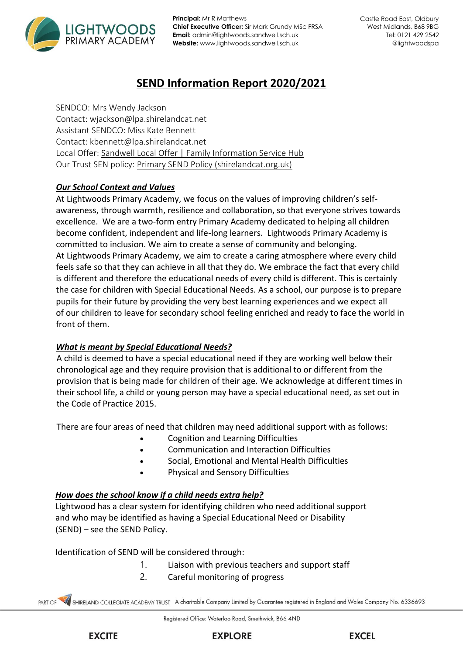

**Principal:** Mr R Matthews **Chief Executive Officer:** Sir Mark Grundy MSc FRSA **Email:** admin@lightwoods.sandwell.sch.uk **Website:** www.lightwoods.sandwell.sch.uk

# **SEND Information Report 2020/2021**

SENDCO: Mrs Wendy Jackson Contact: wjackson@lpa.shirelandcat.net Assistant SENDCO: Miss Kate Bennett Contact: kbennett@lpa.shirelandcat.net Local Offer: [Sandwell Local Offer | Family Information Service Hub](https://fis.sandwell.gov.uk/kb5/sandwell/directory/localoffer.page) Our Trust SEN policy: [Primary SEND Policy \(shirelandcat.org.uk\)](https://www.shirelandcat.org.uk/wp-content/uploads/2021/07/Primary-SEND-Policy.pdf)

# *Our School Context and Values*

At Lightwoods Primary Academy, we focus on the values of improving children's selfawareness, through warmth, resilience and collaboration, so that everyone strives towards excellence. We are a two-form entry Primary Academy dedicated to helping all children become confident, independent and life-long learners. Lightwoods Primary Academy is committed to inclusion. We aim to create a sense of community and belonging. At Lightwoods Primary Academy, we aim to create a caring atmosphere where every child feels safe so that they can achieve in all that they do. We embrace the fact that every child is different and therefore the educational needs of every child is different. This is certainly the case for children with Special Educational Needs. As a school, our purpose is to prepare pupils for their future by providing the very best learning experiences and we expect all of our children to leave for secondary school feeling enriched and ready to face the world in front of them.

## *What is meant by Special Educational Needs?*

A child is deemed to have a special educational need if they are working well below their chronological age and they require provision that is additional to or different from the provision that is being made for children of their age. We acknowledge at different times in their school life, a child or young person may have a special educational need, as set out in the Code of Practice 2015. 

There are four areas of need that children may need additional support with as follows:   

- Cognition and Learning Difficulties
- Communication and Interaction Difficulties
- Social, Emotional and Mental Health Difficulties
- Physical and Sensory Difficulties

#### *How does the school know if a child needs extra help?*

Lightwood has a clear system for identifying children who need additional support and who may be identified as having a Special Educational Need or Disability (SEND) – see the SEND Policy.

Identification of SEND will be considered through:  

- 1. Liaison with previous teachers and support staff
- 2. Careful monitoring of progress

SHIRELAND COLLEGIATE ACADEMY TRUST A charitable Company Limited by Guarantee registered in England and Wales Company No. 6336693



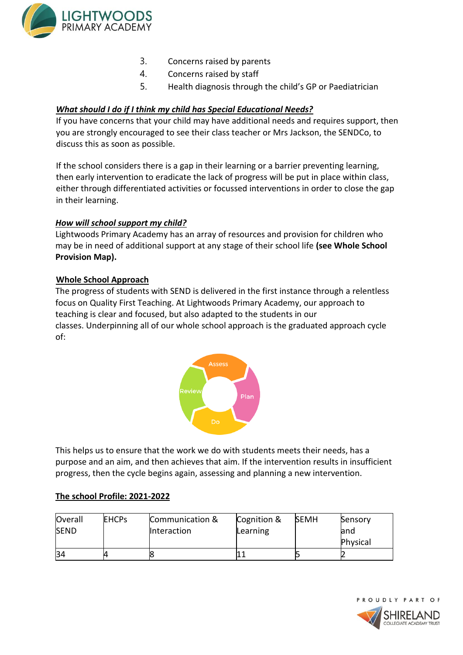

- 3. Concerns raised by parents
- 4. Concerns raised by staff
- 5. Health diagnosis through the child's GP or Paediatrician

#### *What should I do if I think my child has Special Educational Needs?*

If you have concerns that your child may have additional needs and requires support, then you are strongly encouraged to see their class teacher or Mrs Jackson, the SENDCo, to discuss this as soon as possible.  

If the school considers there is a gap in their learning or a barrier preventing learning, then early intervention to eradicate the lack of progress will be put in place within class, either through differentiated activities or focussed interventions in order to close the gap in their learning.  

#### *How will school support my child?*

Lightwoods Primary Academy has an array of resources and provision for children who may be in need of additional support at any stage of their school life **(see Whole School Provision Map).**  

#### **Whole School Approach**

The progress of students with SEND is delivered in the first instance through a relentless focus on Quality First Teaching. At Lightwoods Primary Academy, our approach to teaching is clear and focused, but also adapted to the students in our classes. Underpinning all of our whole school approach is the graduated approach cycle of:



This helps us to ensure that the work we do with students meets their needs, has a purpose and an aim, and then achieves that aim. If the intervention results in insufficient progress, then the cycle begins again, assessing and planning a new intervention.

#### **The school Profile: 2021-2022**

| Overall     | <b>EHCPS</b> | Communication &    | Cognition & | <b>SEMH</b> | Sensory  |
|-------------|--------------|--------------------|-------------|-------------|----------|
| <b>SEND</b> |              | <b>Interaction</b> | Learning    |             | and      |
|             |              |                    |             |             | Physical |
| 34          |              |                    |             |             |          |

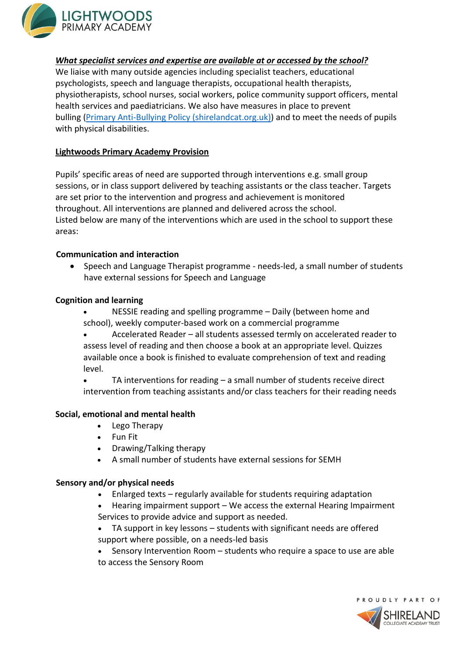

#### *What specialist services and expertise are available at or accessed by the school?*

We liaise with many outside agencies including specialist teachers, educational psychologists, speech and language therapists, occupational health therapists, physiotherapists, school nurses, social workers, police community support officers, mental health services and paediatricians. We also have measures in place to prevent bulling [\(Primary Anti-Bullying Policy \(shirelandcat.org.uk\)\)](https://www.shirelandcat.org.uk/wp-content/uploads/2020/12/PrimaryAnti-Bullying-Policy.pdf) and to meet the needs of pupils with physical disabilities.

#### **Lightwoods Primary Academy Provision**

Pupils' specific areas of need are supported through interventions e.g. small group sessions, or in class support delivered by teaching assistants or the class teacher. Targets are set prior to the intervention and progress and achievement is monitored throughout. All interventions are planned and delivered across the school. Listed below are many of the interventions which are used in the school to support these areas:

#### **Communication and interaction**

• Speech and Language Therapist programme - needs-led, a small number of students have external sessions for Speech and Language

#### **Cognition and learning**

• NESSIE reading and spelling programme – Daily (between home and school), weekly computer-based work on a commercial programme

• Accelerated Reader – all students assessed termly on accelerated reader to assess level of reading and then choose a book at an appropriate level. Quizzes available once a book is finished to evaluate comprehension of text and reading level.

• TA interventions for reading – a small number of students receive direct intervention from teaching assistants and/or class teachers for their reading needs

## **Social, emotional and mental health**

- Lego Therapy
- Fun Fit
- Drawing/Talking therapy
- A small number of students have external sessions for SEMH

#### **Sensory and/or physical needs**

- Enlarged texts regularly available for students requiring adaptation
- Hearing impairment support We access the external Hearing Impairment Services to provide advice and support as needed.
- TA support in key lessons students with significant needs are offered support where possible, on a needs-led basis
- Sensory Intervention Room students who require a space to use are able to access the Sensory Room

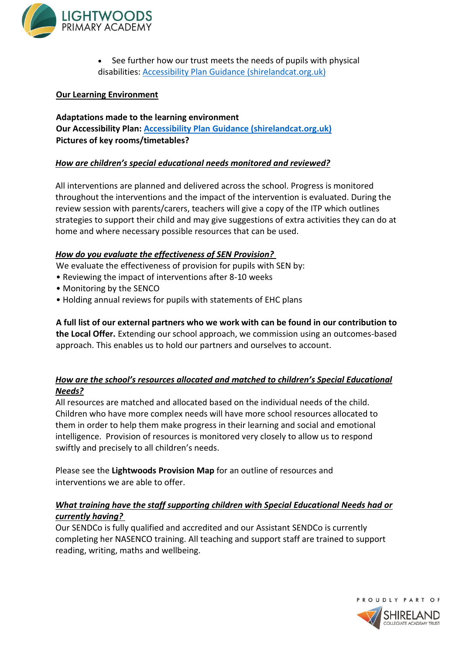

• See further how our trust meets the needs of pupils with physical disabilities: [Accessibility Plan Guidance \(shirelandcat.org.uk\)](https://www.shirelandcat.org.uk/wp-content/uploads/2021/03/Accessibility-Plan-2021.pdf)

## **Our Learning Environment**

## **Adaptations made to the learning environment Our Accessibility Plan: [Accessibility Plan Guidance \(shirelandcat.org.uk\)](https://www.shirelandcat.org.uk/wp-content/uploads/2021/03/Accessibility-Plan-2021.pdf) Pictures of key rooms/timetables?**

#### *How are children's special educational needs monitored and reviewed?*

All interventions are planned and delivered across the school. Progress is monitored throughout the interventions and the impact of the intervention is evaluated. During the review session with parents/carers, teachers will give a copy of the ITP which outlines strategies to support their child and may give suggestions of extra activities they can do at home and where necessary possible resources that can be used.

#### *How do you evaluate the effectiveness of SEN Provision?*

We evaluate the effectiveness of provision for pupils with SEN by:

- Reviewing the impact of interventions after 8-10 weeks
- Monitoring by the SENCO
- Holding annual reviews for pupils with statements of EHC plans

**A full list of our external partners who we work with can be found in our contribution to the Local Offer.** Extending our school approach, we commission using an outcomes-based approach. This enables us to hold our partners and ourselves to account.

## *How are the school's resources allocated and matched to children's Special Educational Needs?*

All resources are matched and allocated based on the individual needs of the child.  Children who have more complex needs will have more school resources allocated to them in order to help them make progress in their learning and social and emotional intelligence.  Provision of resources is monitored very closely to allow us to respond swiftly and precisely to all children's needs.  

Please see the **Lightwoods Provision Map** for an outline of resources and interventions we are able to offer.

## *What training have the staff supporting children with Special Educational Needs had or currently having?*

Our SENDCo is fully qualified and accredited and our Assistant SENDCo is currently completing her NASENCO training. All teaching and support staff are trained to support reading, writing, maths and wellbeing. 

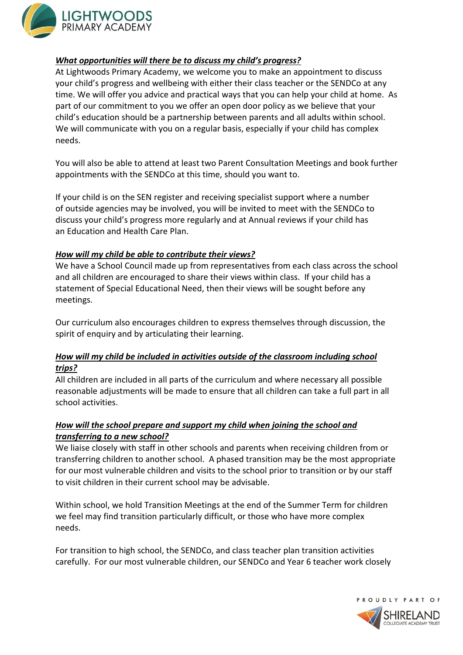

#### *What opportunities will there be to discuss my child's progress?*

At Lightwoods Primary Academy, we welcome you to make an appointment to discuss your child's progress and wellbeing with either their class teacher or the SENDCo at any time. We will offer you advice and practical ways that you can help your child at home.  As part of our commitment to you we offer an open door policy as we believe that your child's education should be a partnership between parents and all adults within school. We will communicate with you on a regular basis, especially if your child has complex needs.  

You will also be able to attend at least two Parent Consultation Meetings and book further appointments with the SENDCo at this time, should you want to.   

If your child is on the SEN register and receiving specialist support where a number of outside agencies may be involved, you will be invited to meet with the SENDCo to discuss your child's progress more regularly and at Annual reviews if your child has an Education and Health Care Plan.  

#### *How will my child be able to contribute their views?*

We have a School Council made up from representatives from each class across the school and all children are encouraged to share their views within class.  If your child has a statement of Special Educational Need, then their views will be sought before any meetings.   

Our curriculum also encourages children to express themselves through discussion, the spirit of enquiry and by articulating their learning. 

## *How will my child be included in activities outside of the classroom including school trips?*

All children are included in all parts of the curriculum and where necessary all possible reasonable adjustments will be made to ensure that all children can take a full part in all school activities.  

# *How will the school prepare and support my child when joining the school and transferring to a new school?*

We liaise closely with staff in other schools and parents when receiving children from or transferring children to another school.  A phased transition may be the most appropriate for our most vulnerable children and visits to the school prior to transition or by our staff to visit children in their current school may be advisable.  

Within school, we hold Transition Meetings at the end of the Summer Term for children we feel may find transition particularly difficult, or those who have more complex needs.   

For transition to high school, the SENDCo, and class teacher plan transition activities carefully.  For our most vulnerable children, our SENDCo and Year 6 teacher work closely

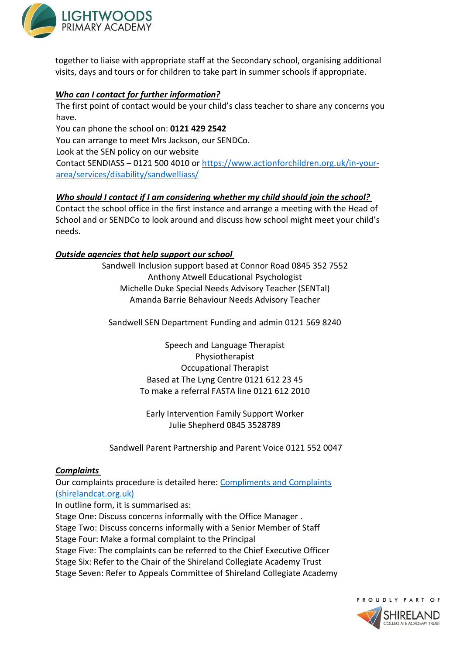

together to liaise with appropriate staff at the Secondary school, organising additional visits, days and tours or for children to take part in summer schools if appropriate.  

## *Who can I contact for further information?*

The first point of contact would be your child's class teacher to share any concerns you have.  

You can phone the school on: **0121 429 2542**

You can arrange to meet Mrs Jackson, our SENDCo.  

Look at the SEN policy on our website  

Contact SENDIASS – 0121 500 4010 or [https://www.actionforchildren.org.uk/in-your](https://www.actionforchildren.org.uk/in-your-area/services/disability/sandwell-iass/)[area/services/disability/sandwelliass/](https://www.actionforchildren.org.uk/in-your-area/services/disability/sandwell-iass/)   

## *Who should I contact if I am considering whether my child should join the school?*

Contact the school office in the first instance and arrange a meeting with the Head of School and or SENDCo to look around and discuss how school might meet your child's needs.  

## *Outside agencies that help support our school*

Sandwell Inclusion support based at Connor Road 0845 352 7552 Anthony Atwell Educational Psychologist Michelle Duke Special Needs Advisory Teacher (SENTal) Amanda Barrie Behaviour Needs Advisory Teacher

Sandwell SEN Department Funding and admin 0121 569 8240

Speech and Language Therapist Physiotherapist Occupational Therapist Based at The Lyng Centre 0121 612 23 45 To make a referral FASTA line 0121 612 2010

Early Intervention Family Support Worker Julie Shepherd 0845 3528789

Sandwell Parent Partnership and Parent Voice 0121 552 0047

## *Complaints*

Our complaints procedure is detailed here: [Compliments and Complaints](https://www.shirelandcat.org.uk/wp-content/uploads/2020/12/ComplimentsComplaintsPolicy.pdf)  [\(shirelandcat.org.uk\)](https://www.shirelandcat.org.uk/wp-content/uploads/2020/12/ComplimentsComplaintsPolicy.pdf)

In outline form, it is summarised as:

Stage One: Discuss concerns informally with the Office Manager . Stage Two: Discuss concerns informally with a Senior Member of Staff Stage Four: Make a formal complaint to the Principal Stage Five: The complaints can be referred to the Chief Executive Officer Stage Six: Refer to the Chair of the Shireland Collegiate Academy Trust Stage Seven: Refer to Appeals Committee of Shireland Collegiate Academy